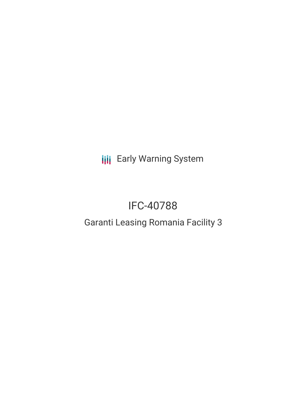**III** Early Warning System

# IFC-40788

# Garanti Leasing Romania Facility 3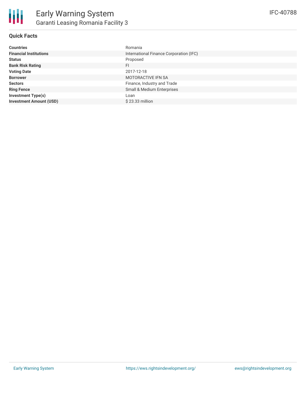

### **Quick Facts**

| <b>Countries</b>               | Romania                                 |
|--------------------------------|-----------------------------------------|
| <b>Financial Institutions</b>  | International Finance Corporation (IFC) |
| <b>Status</b>                  | Proposed                                |
| <b>Bank Risk Rating</b>        | <b>FI</b>                               |
| <b>Voting Date</b>             | 2017-12-18                              |
| <b>Borrower</b>                | <b>MOTORACTIVE IFN SA</b>               |
| <b>Sectors</b>                 | Finance, Industry and Trade             |
| <b>Ring Fence</b>              | Small & Medium Enterprises              |
| <b>Investment Type(s)</b>      | Loan                                    |
| <b>Investment Amount (USD)</b> | $$23.33$ million                        |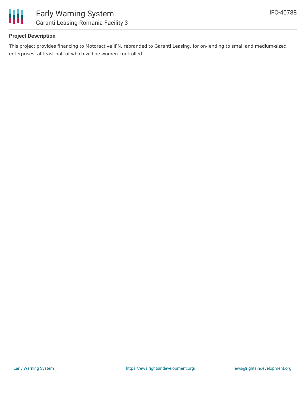

### **Project Description**

This project provides financing to Motoractive IFN, rebranded to Garanti Leasing, for on-lending to small and medium-sized enterprises, at least half of which will be women-controlled.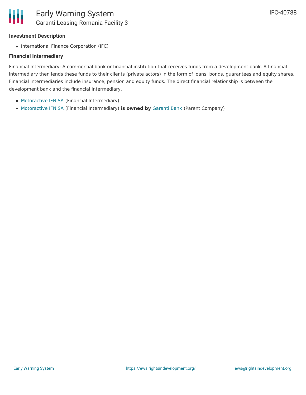### **Investment Description**

• International Finance Corporation (IFC)

#### **Financial Intermediary**

Financial Intermediary: A commercial bank or financial institution that receives funds from a development bank. A financial intermediary then lends these funds to their clients (private actors) in the form of loans, bonds, guarantees and equity shares. Financial intermediaries include insurance, pension and equity funds. The direct financial relationship is between the development bank and the financial intermediary.

- [Motoractive](file:///actor/68/) IFN SA (Financial Intermediary)
- [Motoractive](file:///actor/68/) IFN SA (Financial Intermediary) **is owned by** [Garanti](file:///actor/3545/) Bank (Parent Company)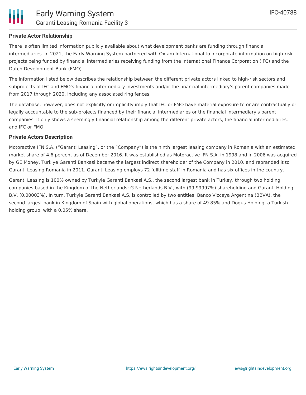

### **Private Actor Relationship**

There is often limited information publicly available about what development banks are funding through financial intermediaries. In 2021, the Early Warning System partnered with Oxfam International to incorporate information on high-risk projects being funded by financial intermediaries receiving funding from the International Finance Corporation (IFC) and the Dutch Development Bank (FMO).

The information listed below describes the relationship between the different private actors linked to high-risk sectors and subprojects of IFC and FMO's financial intermediary investments and/or the financial intermediary's parent companies made from 2017 through 2020, including any associated ring fences.

The database, however, does not explicitly or implicitly imply that IFC or FMO have material exposure to or are contractually or legally accountable to the sub-projects financed by their financial intermediaries or the financial intermediary's parent companies. It only shows a seemingly financial relationship among the different private actors, the financial intermediaries, and IFC or FMO.

#### **Private Actors Description**

Motoractive IFN S.A. ("Garanti Leasing", or the "Company") is the ninth largest leasing company in Romania with an estimated market share of 4.6 percent as of December 2016. It was established as Motoractive IFN S.A. in 1998 and in 2006 was acquired by GE Money. Turkiye Garanti Bankasi became the largest indirect shareholder of the Company in 2010, and rebranded it to Garanti Leasing Romania in 2011. Garanti Leasing employs 72 fulltime staff in Romania and has six offices in the country.

Garanti Leasing is 100% owned by Turkyie Garanti Bankasi A.S., the second largest bank in Turkey, through two holding companies based in the Kingdom of the Netherlands: G Netherlands B.V., with (99.99997%) shareholding and Garanti Holding B.V. (0.00003%). In turn, Turkyie Garanti Bankasi A.S. is controlled by two entities: Banco Vizcaya Argentina (BBVA), the second largest bank in Kingdom of Spain with global operations, which has a share of 49.85% and Dogus Holding, a Turkish holding group, with a 0.05% share.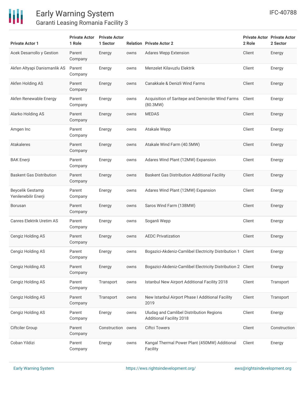

| <b>Private Actor 1</b>                   | <b>Private Actor</b><br>1 Role | <b>Private Actor</b><br>1 Sector |      | <b>Relation Private Actor 2</b>                                             | 2 Role | <b>Private Actor Private Actor</b><br>2 Sector |
|------------------------------------------|--------------------------------|----------------------------------|------|-----------------------------------------------------------------------------|--------|------------------------------------------------|
| Acek Desarrollo y Gestion                | Parent<br>Company              | Energy                           | owns | <b>Adares Wepp Extension</b>                                                | Client | Energy                                         |
| Akfen Altyapi Danismanlik AS             | Parent<br>Company              | Energy                           | owns | Menzelet Kilavuzlu Elektrik                                                 | Client | Energy                                         |
| Akfen Holding AS                         | Parent<br>Company              | Energy                           | owns | Canakkale & Denizli Wind Farms                                              | Client | Energy                                         |
| Akfen Renewable Energy                   | Parent<br>Company              | Energy                           | owns | Acquisition of Saritepe and Demirciler Wind Farms<br>(80.3MW)               | Client | Energy                                         |
| Alarko Holding AS                        | Parent<br>Company              | Energy                           | owns | <b>MEDAS</b>                                                                | Client | Energy                                         |
| Amgen Inc                                | Parent<br>Company              | Energy                           | owns | Atakale Wepp                                                                | Client | Energy                                         |
| <b>Atakaleres</b>                        | Parent<br>Company              | Energy                           | owns | Atakale Wind Farm (40.5MW)                                                  | Client | Energy                                         |
| <b>BAK Enerji</b>                        | Parent<br>Company              | Energy                           | owns | Adares Wind Plant (12MW) Expansion                                          | Client | Energy                                         |
| <b>Baskent Gas Distribution</b>          | Parent<br>Company              | Energy                           | owns | Baskent Gas Distribution Additional Facility                                | Client | Energy                                         |
| Beycelik Gestamp<br>Yenilenebilir Enerji | Parent<br>Company              | Energy                           | owns | Adares Wind Plant (12MW) Expansion                                          | Client | Energy                                         |
| Borusan                                  | Parent<br>Company              | Energy                           | owns | Saros Wind Farm (138MW)                                                     | Client | Energy                                         |
| Canres Elektrik Uretim AS                | Parent<br>Company              | Energy                           | owns | Soganli Wepp                                                                | Client | Energy                                         |
| Cengiz Holding AS                        | Parent<br>Company              | Energy                           | owns | <b>AEDC Privatization</b>                                                   | Client | Energy                                         |
| Cengiz Holding AS                        | Parent<br>Company              | Energy                           | owns | Bogazici-Akdeniz-Camlibel Electricity Distribution 1 Client                 |        | Energy                                         |
| Cengiz Holding AS                        | Parent<br>Company              | Energy                           | owns | Bogazici-Akdeniz-Camlibel Electricity Distribution 2 Client                 |        | Energy                                         |
| Cengiz Holding AS                        | Parent<br>Company              | Transport                        | owns | Istanbul New Airport Additional Facility 2018                               | Client | Transport                                      |
| Cengiz Holding AS                        | Parent<br>Company              | Transport                        | owns | New Istanbul Airport Phase I Additional Facility<br>2019                    | Client | Transport                                      |
| Cengiz Holding AS                        | Parent<br>Company              | Energy                           | owns | Uludag and Camlibel Distribution Regions<br><b>Additional Facility 2018</b> | Client | Energy                                         |
| <b>Ciftciler Group</b>                   | Parent<br>Company              | Construction owns                |      | <b>Ciftci Towers</b>                                                        | Client | Construction                                   |
| Coban Yildizi                            | Parent<br>Company              | Energy                           | owns | Kangal Thermal Power Plant (450MW) Additional<br>Facility                   | Client | Energy                                         |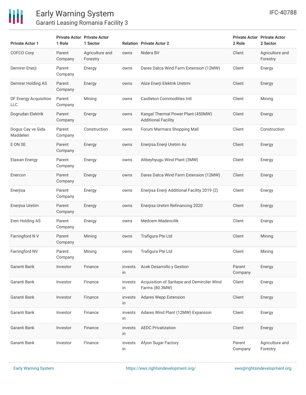

**Private Actor 1**

COFCO Corp Parent

### Early Warning System Garanti Leasing Romania Facility 3

**Private Actor Private Actor**

Agriculture and

**1 Sector Relation Private Actor 2**

**1 Role**

|                                     | Company           | Forestry       |               |                                                                  |                   | Forestry                    |
|-------------------------------------|-------------------|----------------|---------------|------------------------------------------------------------------|-------------------|-----------------------------|
| Demirer Enerji                      | Parent<br>Company | Energy         | owns          | Dares Datca Wind Farm Extension (12MW)                           | Client            | Energy                      |
| Demirer Holding AS                  | Parent<br>Company | Energy         | owns          | Alize Enerji Elektrik Uretimi                                    | Client            | Energy                      |
| DF Energy Acquisition<br><b>LLC</b> | Parent<br>Company | Mining         | owns          | <b>Castleton Commodities Intl</b>                                | Client            | Mining                      |
| Dogrudan Elektrik                   | Parent<br>Company | Energy         | owns          | Kangal Thermal Power Plant (450MW)<br><b>Additional Facility</b> | Client            | Energy                      |
| Dogus Cay ve Gida<br>Maddeleri      | Parent<br>Company | Construction   | owns          | Forum Marmara Shopping Mall                                      | Client            | Construction                |
| E ON SE                             | Parent<br>Company | Energy         | owns          | Enerjisa Enerji Uretim As                                        | Client            | Energy                      |
| Elawan Energy                       | Parent<br>Company | Energy         | owns          | Alibeyhyugu Wind Plant (3MW)                                     | Client            | Energy                      |
| Enercon                             | Parent<br>Company | Energy         | owns          | Dares Datca Wind Farm Extension (12MW)                           | Client            | Energy                      |
| Enerjisa                            | Parent<br>Company | Energy         | owns          | Enerjisa Enerji Additional Facility 2019 (2)                     | Client            | Energy                      |
| Enerjisa Uretim                     | Parent<br>Company | Energy         | owns          | Enerjisa Uretim Refinancing 2020                                 | Client            | Energy                      |
| Eren Holding AS                     | Parent<br>Company | Energy         | owns          | Medcem Madencilik                                                | Client            | Energy                      |
| Farringford N V                     | Parent<br>Company | Mining         | owns          | Trafigura Pte Ltd                                                | Client            | Mining                      |
| Farringford NV                      | Parent<br>Company | Mining         | owns          | Trafigura Pte Ltd                                                | Client            | Mining                      |
| Garanti Bank                        | Investor          | Finance        | invests<br>in | Acek Desarrollo y Gestion                                        | Parent<br>Company | Energy                      |
| Garanti Bank                        | Investor          | <b>Finance</b> | invests<br>in | Acquisition of Saritepe and Demirciler Wind<br>Farms (80.3MW)    | Client            | Energy                      |
| Garanti Bank                        | Investor          | Finance        | invests<br>in | <b>Adares Wepp Extension</b>                                     | Client            | Energy                      |
| Garanti Bank                        | Investor          | Finance        | invests<br>in | Adares Wind Plant (12MW) Expansion                               | Client            | Energy                      |
| Garanti Bank                        | Investor          | Finance        | invests<br>in | <b>AEDC Privatization</b>                                        | Client            | Energy                      |
| Garanti Bank                        | Investor          | Finance        | invests<br>in | Afyon Sugar Factory                                              | Parent<br>Company | Agriculture and<br>Forestry |

**Private Actor Private Actor**

**2 Sector**

**2 Role**

owns Nidera BV Client Agriculture and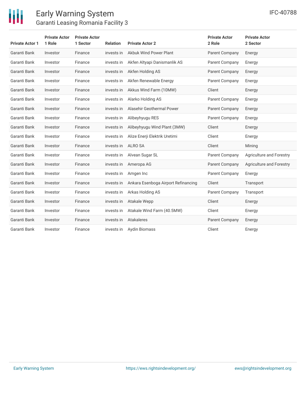

| <b>Private Actor 1</b> | <b>Private Actor</b><br>1 Role | <b>Private Actor</b><br>1 Sector | <b>Relation</b> | <b>Private Actor 2</b>              | <b>Private Actor</b><br>2 Role | <b>Private Actor</b><br>2 Sector |
|------------------------|--------------------------------|----------------------------------|-----------------|-------------------------------------|--------------------------------|----------------------------------|
| Garanti Bank           | Investor                       | Finance                          | invests in      | <b>Akbuk Wind Power Plant</b>       | Parent Company                 | Energy                           |
| Garanti Bank           | Investor                       | Finance                          | invests in      | Akfen Altyapi Danismanlik AS        | Parent Company                 | Energy                           |
| Garanti Bank           | Investor                       | Finance                          | invests in      | Akfen Holding AS                    | Parent Company                 | Energy                           |
| Garanti Bank           | Investor                       | Finance                          | invests in      | Akfen Renewable Energy              | Parent Company                 | Energy                           |
| Garanti Bank           | Investor                       | Finance                          | invests in      | Akkus Wind Farm (10MW)              | Client                         | Energy                           |
| Garanti Bank           | Investor                       | Finance                          | invests in      | Alarko Holding AS                   | Parent Company                 | Energy                           |
| Garanti Bank           | Investor                       | Finance                          | invests in      | Alasehir Geothermal Power           | Parent Company                 | Energy                           |
| Garanti Bank           | Investor                       | Finance                          | invests in      | Alibeyhyugu RES                     | Parent Company                 | Energy                           |
| Garanti Bank           | Investor                       | Finance                          | invests in      | Alibeyhyugu Wind Plant (3MW)        | Client                         | Energy                           |
| Garanti Bank           | Investor                       | Finance                          | invests in      | Alize Enerji Elektrik Uretimi       | Client                         | Energy                           |
| Garanti Bank           | Investor                       | Finance                          | invests in      | <b>ALRO SA</b>                      | Client                         | Mining                           |
| Garanti Bank           | Investor                       | Finance                          | invests in      | Alvean Sugar SL                     | Parent Company                 | Agriculture and Forestry         |
| Garanti Bank           | Investor                       | Finance                          | invests in      | Ameropa AG                          | Parent Company                 | Agriculture and Forestry         |
| Garanti Bank           | Investor                       | Finance                          | invests in      | Amgen Inc                           | Parent Company                 | Energy                           |
| Garanti Bank           | Investor                       | Finance                          | invests in      | Ankara Esenboga Airport Refinancing | Client                         | Transport                        |
| Garanti Bank           | Investor                       | Finance                          | invests in      | Arkas Holding AS                    | Parent Company                 | Transport                        |
| Garanti Bank           | Investor                       | Finance                          | invests in      | Atakale Wepp                        | Client                         | Energy                           |
| Garanti Bank           | Investor                       | Finance                          | invests in      | Atakale Wind Farm (40.5MW)          | Client                         | Energy                           |
| Garanti Bank           | Investor                       | Finance                          | invests in      | Atakaleres                          | Parent Company                 | Energy                           |
| Garanti Bank           | Investor                       | Finance                          | invests in      | Aydin Biomass                       | Client                         | Energy                           |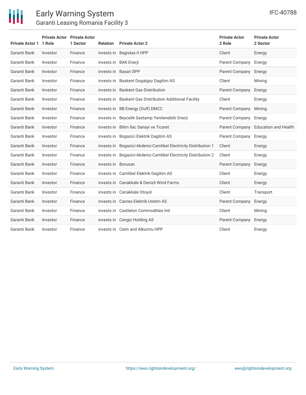

| Private Actor 1 1 Role | <b>Private Actor Private Actor</b> | 1 Sector | <b>Relation</b>    | <b>Private Actor 2</b>                                          | <b>Private Actor</b><br>2 Role | <b>Private Actor</b><br>2 Sector |
|------------------------|------------------------------------|----------|--------------------|-----------------------------------------------------------------|--------------------------------|----------------------------------|
| Garanti Bank           | Investor                           | Finance  |                    | invests in Bagistas II HPP                                      | Client                         | Energy                           |
| Garanti Bank           | Investor                           | Finance  |                    | invests in BAK Enerji                                           | Parent Company                 | Energy                           |
| Garanti Bank           | Investor                           | Finance  |                    | invests in Basari SPP                                           | Parent Company                 | Energy                           |
| Garanti Bank           | Investor                           | Finance  |                    | invests in Baskent Dogalgaz Dagitim AS                          | Client                         | Mining                           |
| Garanti Bank           | Investor                           | Finance  |                    | invests in Baskent Gas Distribution                             | Parent Company                 | Energy                           |
| Garanti Bank           | Investor                           | Finance  |                    | invests in Baskent Gas Distribution Additional Facility         | Client                         | Energy                           |
| Garanti Bank           | Investor                           | Finance  |                    | invests in BB Energy (Gulf) DMCC                                | Parent Company                 | Mining                           |
| Garanti Bank           | Investor                           | Finance  |                    | invests in Beycelik Gestamp Yenilenebilir Enerji                | Parent Company                 | Energy                           |
| Garanti Bank           | Investor                           | Finance  |                    | invests in Bilim Ilac Sanayi ve Ticaret                         | Parent Company                 | <b>Education and Health</b>      |
| Garanti Bank           | Investor                           | Finance  |                    | invests in Bogazici Elektrik Dagitim AS                         | Parent Company                 | Energy                           |
| Garanti Bank           | Investor                           | Finance  |                    | invests in Bogazici-Akdeniz-Camlibel Electricity Distribution 1 | Client                         | Energy                           |
| Garanti Bank           | Investor                           | Finance  |                    | invests in Bogazici-Akdeniz-Camlibel Electricity Distribution 2 | Client                         | Energy                           |
| Garanti Bank           | Investor                           | Finance  | invests in Borusan |                                                                 | Parent Company                 | Energy                           |
| Garanti Bank           | Investor                           | Finance  |                    | invests in Camlibel Elektrik Dagitim AS                         | Client                         | Energy                           |
| Garanti Bank           | Investor                           | Finance  |                    | invests in Canakkale & Denizli Wind Farms                       | Client                         | Energy                           |
| Garanti Bank           | Investor                           | Finance  |                    | invests in Canakkale Otoyol                                     | Client                         | Transport                        |
| Garanti Bank           | Investor                           | Finance  |                    | invests in Canres Elektrik Uretim AS                            | Parent Company                 | Energy                           |
| Garanti Bank           | Investor                           | Finance  |                    | invests in Castleton Commodities Intl                           | Client                         | Mining                           |
| Garanti Bank           | Investor                           | Finance  |                    | invests in Cengiz Holding AS                                    | Parent Company                 | Energy                           |
| Garanti Bank           | Investor                           | Finance  |                    | invests in Cetin and Alkumru HPP                                | Client                         | Energy                           |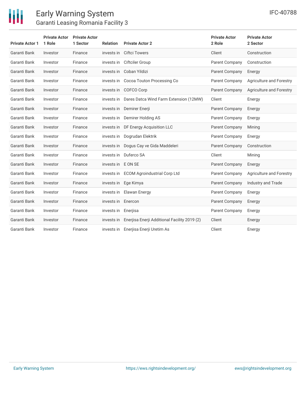

| <b>Private Actor 1</b> | <b>Private Actor</b><br>1 Role | <b>Private Actor</b><br>1 Sector | <b>Relation</b>     | <b>Private Actor 2</b>                       | <b>Private Actor</b><br>2 Role | <b>Private Actor</b><br>2 Sector |
|------------------------|--------------------------------|----------------------------------|---------------------|----------------------------------------------|--------------------------------|----------------------------------|
| Garanti Bank           | Investor                       | Finance                          | invests in          | <b>Ciftci Towers</b>                         | Client                         | Construction                     |
| Garanti Bank           | Investor                       | Finance                          | invests in          | Ciftciler Group                              | Parent Company                 | Construction                     |
| Garanti Bank           | Investor                       | Finance                          | invests in          | Coban Yildizi                                | Parent Company                 | Energy                           |
| Garanti Bank           | Investor                       | Finance                          | invests in          | Cocoa Touton Processing Co                   | Parent Company                 | Agriculture and Forestry         |
| Garanti Bank           | Investor                       | Finance                          | invests in          | COFCO Corp                                   | Parent Company                 | Agriculture and Forestry         |
| Garanti Bank           | Investor                       | Finance                          | invests in          | Dares Datca Wind Farm Extension (12MW)       | Client                         | Energy                           |
| Garanti Bank           | Investor                       | Finance                          | invests in          | Demirer Enerji                               | <b>Parent Company</b>          | Energy                           |
| Garanti Bank           | Investor                       | Finance                          | invests in          | Demirer Holding AS                           | Parent Company                 | Energy                           |
| Garanti Bank           | Investor                       | Finance                          | invests in          | DF Energy Acquisition LLC                    | Parent Company                 | Mining                           |
| Garanti Bank           | Investor                       | Finance                          | invests in          | Dogrudan Elektrik                            | Parent Company                 | Energy                           |
| Garanti Bank           | Investor                       | Finance                          | invests in          | Dogus Cay ve Gida Maddeleri                  | Parent Company                 | Construction                     |
| Garanti Bank           | Investor                       | Finance                          | invests in          | Duferco SA                                   | Client                         | Mining                           |
| Garanti Bank           | Investor                       | Finance                          | invests in E ON SE  |                                              | Parent Company                 | Energy                           |
| Garanti Bank           | Investor                       | Finance                          | invests in          | <b>ECOM Agroindustrial Corp Ltd</b>          | Parent Company                 | Agriculture and Forestry         |
| Garanti Bank           | Investor                       | Finance                          |                     | invests in Ege Kimya                         | Parent Company                 | Industry and Trade               |
| Garanti Bank           | Investor                       | Finance                          |                     | invests in Elawan Energy                     | Parent Company                 | Energy                           |
| Garanti Bank           | Investor                       | Finance                          | invests in Enercon  |                                              | Parent Company                 | Energy                           |
| Garanti Bank           | Investor                       | Finance                          | invests in Enerjisa |                                              | Parent Company                 | Energy                           |
| Garanti Bank           | Investor                       | Finance                          | invests in          | Enerjisa Enerji Additional Facility 2019 (2) | Client                         | Energy                           |
| Garanti Bank           | Investor                       | Finance                          |                     | invests in Enerjisa Enerji Uretim As         | Client                         | Energy                           |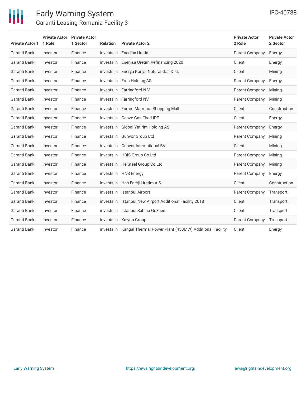

| <b>Private Actor 1</b> | <b>Private Actor</b><br>1 Role | <b>Private Actor</b><br>1 Sector | <b>Relation</b> | <b>Private Actor 2</b>                                            | <b>Private Actor</b><br>2 Role | <b>Private Actor</b><br>2 Sector |
|------------------------|--------------------------------|----------------------------------|-----------------|-------------------------------------------------------------------|--------------------------------|----------------------------------|
| Garanti Bank           | Investor                       | Finance                          |                 | invests in Enerjisa Uretim                                        | Parent Company                 | Energy                           |
| Garanti Bank           | Investor                       | Finance                          | invests in      | Enerjisa Uretim Refinancing 2020                                  | Client                         | Energy                           |
| Garanti Bank           | Investor                       | Finance                          |                 | invests in Enerya Konya Natural Gas Dist.                         | Client                         | Mining                           |
| Garanti Bank           | Investor                       | Finance                          |                 | invests in Eren Holding AS                                        | Parent Company                 | Energy                           |
| Garanti Bank           | Investor                       | Finance                          |                 | invests in Farringford NV                                         | Parent Company                 | Mining                           |
| Garanti Bank           | Investor                       | Finance                          | invests in      | Farringford NV                                                    | Parent Company                 | Mining                           |
| Garanti Bank           | Investor                       | Finance                          |                 | invests in Forum Marmara Shopping Mall                            | Client                         | Construction                     |
| Garanti Bank           | Investor                       | Finance                          |                 | invests in Gebze Gas Fired IPP                                    | Client                         | Energy                           |
| Garanti Bank           | Investor                       | Finance                          | invests in      | Global Yatirim Holding AS                                         | <b>Parent Company</b>          | Energy                           |
| Garanti Bank           | Investor                       | Finance                          |                 | invests in Gunvor Group Ltd                                       | Parent Company                 | Mining                           |
| Garanti Bank           | Investor                       | Finance                          | invests in      | <b>Gunvor International BV</b>                                    | Client                         | Mining                           |
| Garanti Bank           | Investor                       | Finance                          |                 | invests in HBIS Group Co Ltd                                      | Parent Company                 | Mining                           |
| Garanti Bank           | Investor                       | Finance                          |                 | invests in He Steel Group Co Ltd                                  | Parent Company                 | Mining                           |
| Garanti Bank           | Investor                       | Finance                          |                 | invests in HNS Energy                                             | Parent Company                 | Energy                           |
| Garanti Bank           | Investor                       | Finance                          |                 | invests in Hns Enerji Uretim A.S                                  | Client                         | Construction                     |
| Garanti Bank           | Investor                       | Finance                          |                 | invests in Istanbul Airport                                       | Parent Company                 | Transport                        |
| Garanti Bank           | Investor                       | Finance                          |                 | invests in Istanbul New Airport Additional Facility 2018          | Client                         | Transport                        |
| Garanti Bank           | Investor                       | Finance                          | invests in      | Istanbul Sabiha Gokcen                                            | Client                         | Transport                        |
| Garanti Bank           | Investor                       | Finance                          |                 | invests in Kalyon Group                                           | Parent Company                 | Transport                        |
| Garanti Bank           | Investor                       | Finance                          |                 | invests in Kangal Thermal Power Plant (450MW) Additional Facility | Client                         | Energy                           |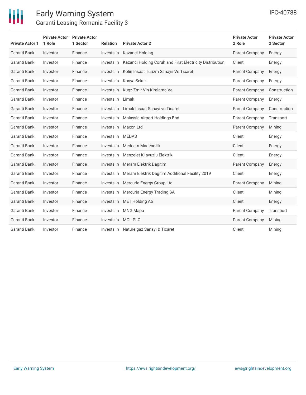

| <b>Private Actor 1</b> | <b>Private Actor</b> Private Actor<br>1 Role | 1 Sector | <b>Relation</b>    | <b>Private Actor 2</b>                                              | <b>Private Actor</b><br>2 Role | <b>Private Actor</b><br>2 Sector |
|------------------------|----------------------------------------------|----------|--------------------|---------------------------------------------------------------------|--------------------------------|----------------------------------|
| Garanti Bank           | Investor                                     | Finance  |                    | invests in Kazanci Holding                                          | Parent Company                 | Energy                           |
| Garanti Bank           | Investor                                     | Finance  |                    | invests in Kazanci Holding Coruh and Firat Electricity Distribution | Client                         | Energy                           |
| Garanti Bank           | Investor                                     | Finance  |                    | invests in Kolin Insaat Turizm Sanayii Ve Ticaret                   | Parent Company                 | Energy                           |
| Garanti Bank           | Investor                                     | Finance  |                    | invests in Konya Seker                                              | Parent Company                 | Energy                           |
| Garanti Bank           | Investor                                     | Finance  | invests in         | Kugz Zmir Vin Kiralama Ve                                           | Parent Company                 | Construction                     |
| Garanti Bank           | Investor                                     | Finance  | invests in Limak   |                                                                     | Parent Company                 | Energy                           |
| Garanti Bank           | Investor                                     | Finance  |                    | invests in Limak Insaat Sanayi ve Ticaret                           | Parent Company                 | Construction                     |
| Garanti Bank           | Investor                                     | Finance  | invests in         | Malaysia Airport Holdings Bhd                                       | Parent Company                 | Transport                        |
| Garanti Bank           | Investor                                     | Finance  |                    | invests in Maxon Ltd                                                | Parent Company                 | Mining                           |
| Garanti Bank           | Investor                                     | Finance  | invests in MEDAS   |                                                                     | Client                         | Energy                           |
| Garanti Bank           | Investor                                     | Finance  | invests in         | <b>Medcem Madencilik</b>                                            | Client                         | Energy                           |
| Garanti Bank           | Investor                                     | Finance  |                    | invests in Menzelet Kilavuzlu Elektrik                              | Client                         | Energy                           |
| Garanti Bank           | Investor                                     | Finance  |                    | invests in Meram Elektrik Dagitim                                   | Parent Company                 | Energy                           |
| Garanti Bank           | Investor                                     | Finance  |                    | invests in Meram Elektrik Dagitim Additional Facility 2019          | Client                         | Energy                           |
| Garanti Bank           | Investor                                     | Finance  |                    | invests in Mercuria Energy Group Ltd                                | Parent Company                 | Mining                           |
| Garanti Bank           | Investor                                     | Finance  |                    | invests in Mercuria Energy Trading SA                               | Client                         | Mining                           |
| Garanti Bank           | Investor                                     | Finance  |                    | invests in MET Holding AG                                           | Client                         | Energy                           |
| Garanti Bank           | Investor                                     | Finance  | invests in         | <b>MNG Mapa</b>                                                     | Parent Company                 | Transport                        |
| Garanti Bank           | Investor                                     | Finance  | invests in MOL PLC |                                                                     | Parent Company                 | Mining                           |
| Garanti Bank           | Investor                                     | Finance  |                    | invests in Naturelgaz Sanayi & Ticaret                              | Client                         | Mining                           |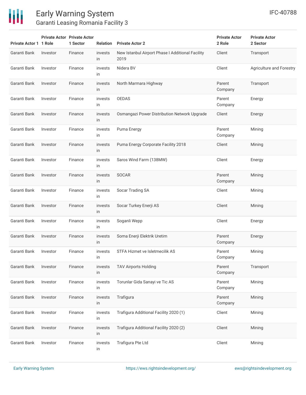

| <b>Private Actor 1 1 Role</b> |          | <b>Private Actor Private Actor</b><br>1 Sector | <b>Relation</b> | <b>Private Actor 2</b>                                   | <b>Private Actor</b><br>2 Role | <b>Private Actor</b><br>2 Sector |
|-------------------------------|----------|------------------------------------------------|-----------------|----------------------------------------------------------|--------------------------------|----------------------------------|
| Garanti Bank                  | Investor | Finance                                        | invests<br>in   | New Istanbul Airport Phase I Additional Facility<br>2019 | Client                         | Transport                        |
| Garanti Bank                  | Investor | Finance                                        | invests<br>in   | Nidera BV                                                | Client                         | <b>Agriculture and Forestry</b>  |
| Garanti Bank                  | Investor | Finance                                        | invests<br>in   | North Marmara Highway                                    | Parent<br>Company              | Transport                        |
| Garanti Bank                  | Investor | Finance                                        | invests<br>in   | <b>OEDAS</b>                                             | Parent<br>Company              | Energy                           |
| Garanti Bank                  | Investor | Finance                                        | invests<br>in   | Osmangazi Power Distribution Network Upgrade             | Client                         | Energy                           |
| Garanti Bank                  | Investor | Finance                                        | invests<br>in   | Puma Energy                                              | Parent<br>Company              | Mining                           |
| Garanti Bank                  | Investor | Finance                                        | invests<br>in   | Puma Energy Corporate Facility 2018                      | Client                         | Mining                           |
| Garanti Bank                  | Investor | Finance                                        | invests<br>in   | Saros Wind Farm (138MW)                                  | Client                         | Energy                           |
| Garanti Bank                  | Investor | Finance                                        | invests<br>in   | <b>SOCAR</b>                                             | Parent<br>Company              | Mining                           |
| Garanti Bank                  | Investor | Finance                                        | invests<br>in   | Socar Trading SA                                         | Client                         | Mining                           |
| Garanti Bank                  | Investor | Finance                                        | invests<br>in   | Socar Turkey Enerji AS                                   | Client                         | Mining                           |
| Garanti Bank                  | Investor | Finance                                        | invests<br>in   | Soganli Wepp                                             | Client                         | Energy                           |
| Garanti Bank                  | Investor | Finance                                        | invests<br>in   | Soma Enerji Elektrik Uretim                              | Parent<br>Company              | Energy                           |
| Garanti Bank                  | Investor | Finance                                        | invests<br>in   | STFA Hizmet ve Isletmecilik AS                           | Parent<br>Company              | Mining                           |
| Garanti Bank                  | Investor | Finance                                        | invests<br>in   | <b>TAV Airports Holding</b>                              | Parent<br>Company              | Transport                        |
| Garanti Bank                  | Investor | Finance                                        | invests<br>in   | Torunlar Gida Sanayi ve Tic AS                           | Parent<br>Company              | Mining                           |
| Garanti Bank                  | Investor | Finance                                        | invests<br>in   | Trafigura                                                | Parent<br>Company              | Mining                           |
| Garanti Bank                  | Investor | Finance                                        | invests<br>in   | Trafigura Additional Facility 2020 (1)                   | Client                         | Mining                           |
| Garanti Bank                  | Investor | Finance                                        | invests<br>in   | Trafigura Additional Facility 2020 (2)                   | Client                         | Mining                           |
| Garanti Bank                  | Investor | Finance                                        | invests<br>in   | Trafigura Pte Ltd                                        | Client                         | Mining                           |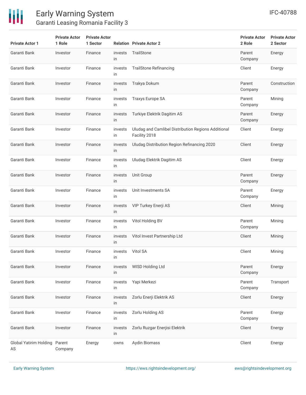

| <b>Private Actor 1</b>              | <b>Private Actor</b><br>1 Role | <b>Private Actor</b><br>1 Sector |               | <b>Relation Private Actor 2</b>                                      | <b>Private Actor</b><br>2 Role | <b>Private Actor</b><br>2 Sector |
|-------------------------------------|--------------------------------|----------------------------------|---------------|----------------------------------------------------------------------|--------------------------------|----------------------------------|
| Garanti Bank                        | Investor                       | Finance                          | invests<br>in | TrailStone                                                           | Parent<br>Company              | Energy                           |
| Garanti Bank                        | Investor                       | Finance                          | invests<br>in | <b>TrailStone Refinancing</b>                                        | Client                         | Energy                           |
| Garanti Bank                        | Investor                       | Finance                          | invests<br>in | Trakya Dokum                                                         | Parent<br>Company              | Construction                     |
| Garanti Bank                        | Investor                       | Finance                          | invests<br>in | <b>Traxys Europe SA</b>                                              | Parent<br>Company              | Mining                           |
| Garanti Bank                        | Investor                       | Finance                          | invests<br>in | Turkiye Elektrik Dagitim AS                                          | Parent<br>Company              | Energy                           |
| Garanti Bank                        | Investor                       | Finance                          | invests<br>in | Uludag and Camlibel Distribution Regions Additional<br>Facility 2018 | Client                         | Energy                           |
| Garanti Bank                        | Investor                       | Finance                          | invests<br>in | Uludag Distribution Region Refinancing 2020                          | Client                         | Energy                           |
| Garanti Bank                        | Investor                       | Finance                          | invests<br>in | Uludag Elektrik Dagitim AS                                           | Client                         | Energy                           |
| Garanti Bank                        | Investor                       | Finance                          | invests<br>in | Unit Group                                                           | Parent<br>Company              | Energy                           |
| Garanti Bank                        | Investor                       | Finance                          | invests<br>in | Unit Investments SA                                                  | Parent<br>Company              | Energy                           |
| Garanti Bank                        | Investor                       | Finance                          | invests<br>in | VIP Turkey Enerji AS                                                 | Client                         | Mining                           |
| Garanti Bank                        | Investor                       | Finance                          | invests<br>in | Vitol Holding BV                                                     | Parent<br>Company              | Mining                           |
| Garanti Bank                        | Investor                       | Finance                          | invests<br>in | Vitol Invest Partnership Ltd                                         | Client                         | Mining                           |
| Garanti Bank                        | Investor                       | Finance                          | invests<br>in | Vitol SA                                                             | Client                         | Mining                           |
| Garanti Bank                        | Investor                       | Finance                          | invests<br>in | WISD Holding Ltd                                                     | Parent<br>Company              | Energy                           |
| Garanti Bank                        | Investor                       | Finance                          | invests<br>in | Yapi Merkezi                                                         | Parent<br>Company              | Transport                        |
| Garanti Bank                        | Investor                       | Finance                          | invests<br>in | Zorlu Enerji Elektrik AS                                             | Client                         | Energy                           |
| Garanti Bank                        | Investor                       | Finance                          | invests<br>in | Zorlu Holding AS                                                     | Parent<br>Company              | Energy                           |
| Garanti Bank                        | Investor                       | Finance                          | invests<br>in | Zorlu Ruzgar Enerjisi Elektrik                                       | Client                         | Energy                           |
| Global Yatirim Holding Parent<br>AS | Company                        | Energy                           | owns          | Aydin Biomass                                                        | Client                         | Energy                           |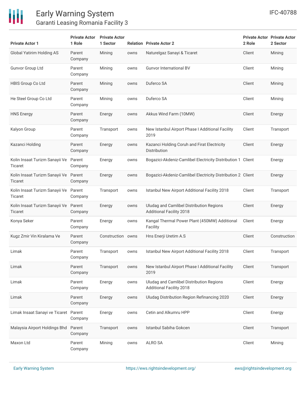

| <b>Private Actor 1</b>                           | <b>Private Actor</b><br>1 Role | <b>Private Actor</b><br>1 Sector |      | <b>Relation Private Actor 2</b>                                             | 2 Role | <b>Private Actor Private Actor</b><br>2 Sector |
|--------------------------------------------------|--------------------------------|----------------------------------|------|-----------------------------------------------------------------------------|--------|------------------------------------------------|
| Global Yatirim Holding AS                        | Parent<br>Company              | Mining                           | owns | Naturelgaz Sanayi & Ticaret                                                 | Client | Mining                                         |
| <b>Gunvor Group Ltd</b>                          | Parent<br>Company              | Mining                           | owns | <b>Gunvor International BV</b>                                              | Client | Mining                                         |
| HBIS Group Co Ltd                                | Parent<br>Company              | Mining                           | owns | Duferco SA                                                                  | Client | Mining                                         |
| He Steel Group Co Ltd                            | Parent<br>Company              | Mining                           | owns | Duferco SA                                                                  | Client | Mining                                         |
| <b>HNS Energy</b>                                | Parent<br>Company              | Energy                           | owns | Akkus Wind Farm (10MW)                                                      | Client | Energy                                         |
| Kalyon Group                                     | Parent<br>Company              | Transport                        | owns | New Istanbul Airport Phase I Additional Facility<br>2019                    | Client | Transport                                      |
| Kazanci Holding                                  | Parent<br>Company              | Energy                           | owns | Kazanci Holding Coruh and Firat Electricity<br>Distribution                 | Client | Energy                                         |
| Kolin Insaat Turizm Sanayii Ve<br>Ticaret        | Parent<br>Company              | Energy                           | owns | Bogazici-Akdeniz-Camlibel Electricity Distribution 1 Client                 |        | Energy                                         |
| Kolin Insaat Turizm Sanayii Ve<br><b>Ticaret</b> | Parent<br>Company              | Energy                           | owns | Bogazici-Akdeniz-Camlibel Electricity Distribution 2 Client                 |        | Energy                                         |
| Kolin Insaat Turizm Sanayii Ve Parent<br>Ticaret | Company                        | Transport                        | owns | Istanbul New Airport Additional Facility 2018                               | Client | Transport                                      |
| Kolin Insaat Turizm Sanayii Ve<br>Ticaret        | Parent<br>Company              | Energy                           | owns | Uludag and Camlibel Distribution Regions<br><b>Additional Facility 2018</b> | Client | Energy                                         |
| Konya Seker                                      | Parent<br>Company              | Energy                           | owns | Kangal Thermal Power Plant (450MW) Additional<br>Facility                   | Client | Energy                                         |
| Kugz Zmir Vin Kiralama Ve                        | Parent<br>Company              | Construction owns                |      | Hns Enerji Uretim A.S                                                       | Client | Construction                                   |
| Limak                                            | Parent<br>Company              | Transport                        | owns | Istanbul New Airport Additional Facility 2018                               | Client | Transport                                      |
| Limak                                            | Parent<br>Company              | Transport                        | owns | New Istanbul Airport Phase I Additional Facility<br>2019                    | Client | Transport                                      |
| Limak                                            | Parent<br>Company              | Energy                           | owns | Uludag and Camlibel Distribution Regions<br><b>Additional Facility 2018</b> | Client | Energy                                         |
| Limak                                            | Parent<br>Company              | Energy                           | owns | Uludag Distribution Region Refinancing 2020                                 | Client | Energy                                         |
| Limak Insaat Sanayi ve Ticaret Parent            | Company                        | Energy                           | owns | Cetin and Alkumru HPP                                                       | Client | Energy                                         |
| Malaysia Airport Holdings Bhd                    | Parent<br>Company              | Transport                        | owns | Istanbul Sabiha Gokcen                                                      | Client | Transport                                      |
| Maxon Ltd                                        | Parent<br>Company              | Mining                           | owns | ALRO SA                                                                     | Client | Mining                                         |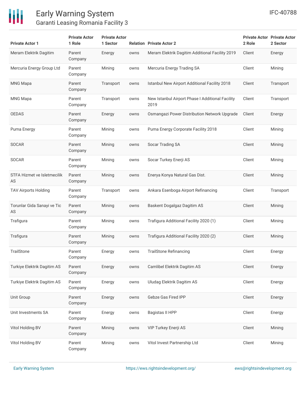

| <b>Private Actor 1</b>            | <b>Private Actor</b><br>1 Role | <b>Private Actor</b><br>1 Sector |      | <b>Relation Private Actor 2</b>                          | 2 Role | <b>Private Actor Private Actor</b><br>2 Sector |
|-----------------------------------|--------------------------------|----------------------------------|------|----------------------------------------------------------|--------|------------------------------------------------|
| Meram Elektrik Dagitim            | Parent<br>Company              | Energy                           | owns | Meram Elektrik Dagitim Additional Facility 2019          | Client | Energy                                         |
| Mercuria Energy Group Ltd         | Parent<br>Company              | Mining                           | owns | Mercuria Energy Trading SA                               | Client | Mining                                         |
| <b>MNG Mapa</b>                   | Parent<br>Company              | Transport                        | owns | Istanbul New Airport Additional Facility 2018            | Client | Transport                                      |
| <b>MNG Mapa</b>                   | Parent<br>Company              | Transport                        | owns | New Istanbul Airport Phase I Additional Facility<br>2019 | Client | Transport                                      |
| <b>OEDAS</b>                      | Parent<br>Company              | Energy                           | owns | Osmangazi Power Distribution Network Upgrade             | Client | Energy                                         |
| Puma Energy                       | Parent<br>Company              | Mining                           | owns | Puma Energy Corporate Facility 2018                      | Client | Mining                                         |
| <b>SOCAR</b>                      | Parent<br>Company              | Mining                           | owns | Socar Trading SA                                         | Client | Mining                                         |
| <b>SOCAR</b>                      | Parent<br>Company              | Mining                           | owns | Socar Turkey Enerji AS                                   | Client | Mining                                         |
| STFA Hizmet ve Isletmecilik<br>AS | Parent<br>Company              | Mining                           | owns | Enerya Konya Natural Gas Dist.                           | Client | Mining                                         |
| TAV Airports Holding              | Parent<br>Company              | Transport                        | owns | Ankara Esenboga Airport Refinancing                      | Client | Transport                                      |
| Torunlar Gida Sanayi ve Tic<br>AS | Parent<br>Company              | Mining                           | owns | Baskent Dogalgaz Dagitim AS                              | Client | Mining                                         |
| Trafigura                         | Parent<br>Company              | Mining                           | owns | Trafigura Additional Facility 2020 (1)                   | Client | Mining                                         |
| Trafigura                         | Parent<br>Company              | Mining                           | owns | Trafigura Additional Facility 2020 (2)                   | Client | Mining                                         |
| TrailStone                        | Parent<br>Company              | Energy                           | owns | <b>TrailStone Refinancing</b>                            | Client | Energy                                         |
| Turkiye Elektrik Dagitim AS       | Parent<br>Company              | Energy                           | owns | Camlibel Elektrik Dagitim AS                             | Client | Energy                                         |
| Turkiye Elektrik Dagitim AS       | Parent<br>Company              | Energy                           | owns | Uludag Elektrik Dagitim AS                               | Client | Energy                                         |
| Unit Group                        | Parent<br>Company              | Energy                           | owns | Gebze Gas Fired IPP                                      | Client | Energy                                         |
| Unit Investments SA               | Parent<br>Company              | Energy                           | owns | <b>Bagistas II HPP</b>                                   | Client | Energy                                         |
| Vitol Holding BV                  | Parent<br>Company              | Mining                           | owns | VIP Turkey Enerji AS                                     | Client | Mining                                         |
| Vitol Holding BV                  | Parent<br>Company              | Mining                           | owns | Vitol Invest Partnership Ltd                             | Client | Mining                                         |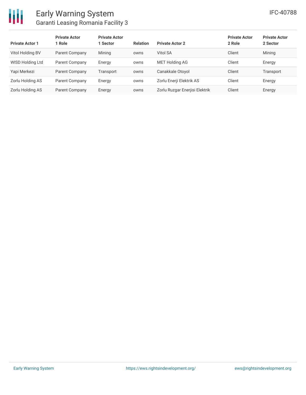

| <b>Private Actor 1</b> | <b>Private Actor</b><br>  Role | <b>Private Actor</b><br>1 Sector | <b>Relation</b> | <b>Private Actor 2</b>         | <b>Private Actor</b><br>2 Role | <b>Private Actor</b><br>2 Sector |
|------------------------|--------------------------------|----------------------------------|-----------------|--------------------------------|--------------------------------|----------------------------------|
| Vitol Holding BV       | Parent Company                 | Mining                           | owns            | Vitol SA                       | Client                         | Mining                           |
| WISD Holding Ltd       | Parent Company                 | Energy                           | owns            | <b>MET Holding AG</b>          | Client                         | Energy                           |
| Yapi Merkezi           | Parent Company                 | Transport                        | owns            | Canakkale Otoyol               | Client                         | Transport                        |
| Zorlu Holding AS       | Parent Company                 | Energy                           | owns            | Zorlu Enerji Elektrik AS       | Client                         | Energy                           |
| Zorlu Holding AS       | Parent Company                 | Energy                           | owns            | Zorlu Ruzgar Enerjisi Elektrik | Client                         | Energy                           |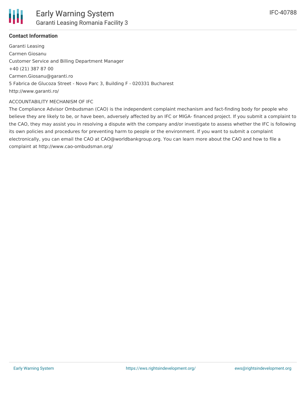

### **Contact Information**

Garanti Leasing Carmen Giosanu Customer Service and Billing Department Manager +40 (21) 387 87 00 Carmen.Giosanu@garanti.ro 5 Fabrica de Glucoza Street - Novo Parc 3, Building F - 020331 Bucharest http://www.garanti.ro/

#### ACCOUNTABILITY MECHANISM OF IFC

The Compliance Advisor Ombudsman (CAO) is the independent complaint mechanism and fact-finding body for people who believe they are likely to be, or have been, adversely affected by an IFC or MIGA- financed project. If you submit a complaint to the CAO, they may assist you in resolving a dispute with the company and/or investigate to assess whether the IFC is following its own policies and procedures for preventing harm to people or the environment. If you want to submit a complaint electronically, you can email the CAO at CAO@worldbankgroup.org. You can learn more about the CAO and how to file a complaint at http://www.cao-ombudsman.org/